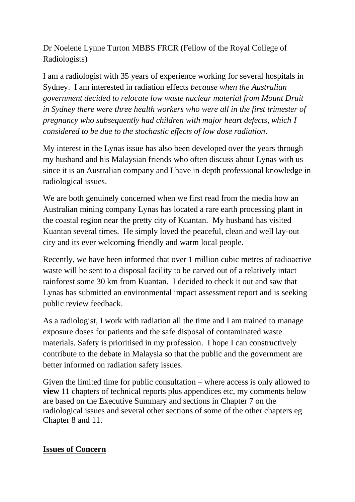Dr Noelene Lynne Turton MBBS FRCR (Fellow of the Royal College of Radiologists)

I am a radiologist with 35 years of experience working for several hospitals in Sydney. I am interested in radiation effects *because when the Australian government decided to relocate low waste nuclear material from Mount Druit in Sydney there were three health workers who were all in the first trimester of pregnancy who subsequently had children with major heart defects, which I considered to be due to the stochastic effects of low dose radiation*.

My interest in the Lynas issue has also been developed over the years through my husband and his Malaysian friends who often discuss about Lynas with us since it is an Australian company and I have in-depth professional knowledge in radiological issues.

We are both genuinely concerned when we first read from the media how an Australian mining company Lynas has located a rare earth processing plant in the coastal region near the pretty city of Kuantan. My husband has visited Kuantan several times. He simply loved the peaceful, clean and well lay-out city and its ever welcoming friendly and warm local people.

Recently, we have been informed that over 1 million cubic metres of radioactive waste will be sent to a disposal facility to be carved out of a relatively intact rainforest some 30 km from Kuantan. I decided to check it out and saw that Lynas has submitted an environmental impact assessment report and is seeking public review feedback.

As a radiologist, I work with radiation all the time and I am trained to manage exposure doses for patients and the safe disposal of contaminated waste materials. Safety is prioritised in my profession. I hope I can constructively contribute to the debate in Malaysia so that the public and the government are better informed on radiation safety issues.

Given the limited time for public consultation – where access is only allowed to **view** 11 chapters of technical reports plus appendices etc, my comments below are based on the Executive Summary and sections in Chapter 7 on the radiological issues and several other sections of some of the other chapters eg Chapter 8 and 11.

# **Issues of Concern**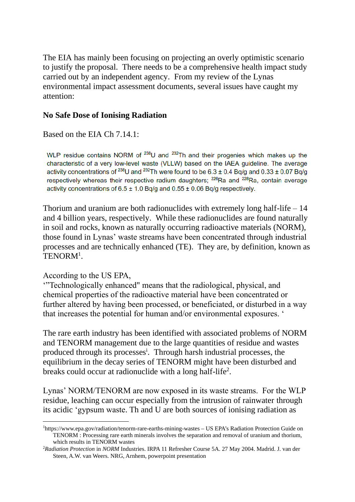The EIA has mainly been focusing on projecting an overly optimistic scenario to justify the proposal. There needs to be a comprehensive health impact study carried out by an independent agency. From my review of the Lynas environmental impact assessment documents, several issues have caught my attention:

## **No Safe Dose of Ionising Radiation**

## Based on the EIA Ch 7.14.1:

WLP residue contains NORM of <sup>238</sup>U and <sup>232</sup>Th and their progenies which makes up the characteristic of a very low-level waste (VLLW) based on the IAEA guideline. The average activity concentrations of <sup>238</sup>U and <sup>232</sup>Th were found to be 6.3 ± 0.4 Bq/g and 0.33 ± 0.07 Bq/g respectively whereas their respective radium daughters; <sup>226</sup>Ra and <sup>228</sup>Ra, contain average activity concentrations of  $6.5 \pm 1.0$  Bq/g and  $0.55 \pm 0.06$  Bq/g respectively.

Thorium and uranium are both radionuclides with extremely long half-life  $-14$ and 4 billion years, respectively. While these radionuclides are found naturally in soil and rocks, known as naturally occurring radioactive materials (NORM), those found in Lynas' waste streams have been concentrated through industrial processes and are technically enhanced (TE). They are, by definition, known as TENORM<sup>1</sup>.

## According to the US EPA,

'"Technologically enhanced" means that the radiological, physical, and chemical properties of the radioactive material have been concentrated or further altered by having been processed, or beneficiated, or disturbed in a way that increases the potential for human and/or environmental exposures. '

The rare earth industry has been identified with associated problems of NORM and TENORM management due to the large quantities of residue and wastes produced through its processes<sup>i</sup>. Through harsh industrial processes, the equilibrium in the decay series of TENORM might have been disturbed and breaks could occur at radionuclide with a long half-life<sup>2</sup>.

Lynas' NORM/TENORM are now exposed in its waste streams. For the WLP residue, leaching can occur especially from the intrusion of rainwater through its acidic 'gypsum waste. Th and U are both sources of ionising radiation as

<sup>1</sup>[https://www.epa.gov/radiation/tenorm](https://www.epa.gov/radiation/tenorm-rare-earths-mining-wastes)-rare-earths-mining-wastes – US EPA's Radiation Protection Guide on TENORM : Processing rare earth minerals involves the separation and removal of uranium and thorium, which results i[n TENORM](https://www.epa.gov/radiation/technologically-enhanced-naturally-occurring-radioactive-materials-tenorm) wastes

<sup>2</sup>*Radiation Protection* in *NORM* Industries. IRPA 11 Refresher Course 5A. 27 May 2004. Madrid. J. van der Steen, A.W. van Weers. NRG, Arnhem, powerpoint presentation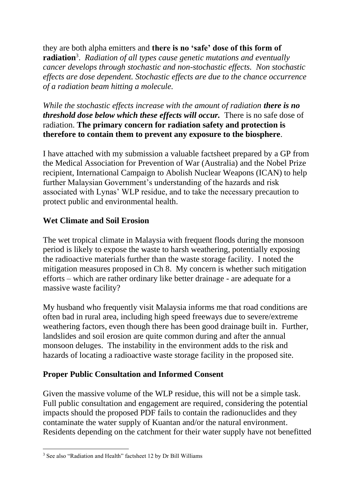they are both alpha emitters and **there is no 'safe' dose of this form of radiation**<sup>3</sup> . *Radiation of all types cause genetic mutations and eventually cancer develops through stochastic and non-stochastic effects. Non stochastic effects are dose dependent. Stochastic effects are due to the chance occurrence of a radiation beam hitting a molecule.* 

*While the stochastic effects increase with the amount of radiation <i>there is no threshold dose below which these effects will occur.* There is no safe dose of radiation. **The primary concern for radiation safety and protection is therefore to contain them to prevent any exposure to the biosphere**.

I have attached with my submission a valuable factsheet prepared by a GP from the Medical Association for Prevention of War (Australia) and the Nobel Prize recipient, International Campaign to Abolish Nuclear Weapons (ICAN) to help further Malaysian Government's understanding of the hazards and risk associated with Lynas' WLP residue, and to take the necessary precaution to protect public and environmental health.

## **Wet Climate and Soil Erosion**

The wet tropical climate in Malaysia with frequent floods during the monsoon period is likely to expose the waste to harsh weathering, potentially exposing the radioactive materials further than the waste storage facility. I noted the mitigation measures proposed in Ch 8. My concern is whether such mitigation efforts – which are rather ordinary like better drainage - are adequate for a massive waste facility?

My husband who frequently visit Malaysia informs me that road conditions are often bad in rural area, including high speed freeways due to severe/extreme weathering factors, even though there has been good drainage built in. Further, landslides and soil erosion are quite common during and after the annual monsoon deluges. The instability in the environment adds to the risk and hazards of locating a radioactive waste storage facility in the proposed site.

## **Proper Public Consultation and Informed Consent**

Given the massive volume of the WLP residue, this will not be a simple task. Full public consultation and engagement are required, considering the potential impacts should the proposed PDF fails to contain the radionuclides and they contaminate the water supply of Kuantan and/or the natural environment. Residents depending on the catchment for their water supply have not benefitted

<sup>3</sup> See also "Radiation and Health" factsheet 12 by Dr Bill Williams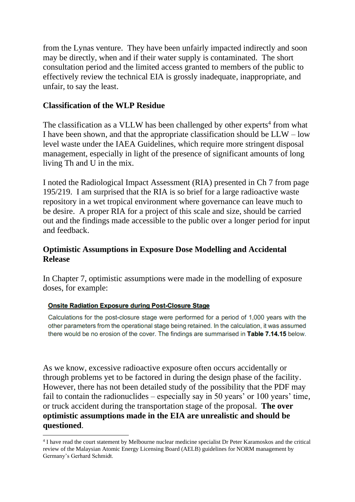from the Lynas venture. They have been unfairly impacted indirectly and soon may be directly, when and if their water supply is contaminated. The short consultation period and the limited access granted to members of the public to effectively review the technical EIA is grossly inadequate, inappropriate, and unfair, to say the least.

## **Classification of the WLP Residue**

The classification as a VLLW has been challenged by other experts<sup>4</sup> from what I have been shown, and that the appropriate classification should be  $LLW - low$ level waste under the IAEA Guidelines, which require more stringent disposal management, especially in light of the presence of significant amounts of long living Th and U in the mix.

I noted the Radiological Impact Assessment (RIA) presented in Ch 7 from page 195/219. I am surprised that the RIA is so brief for a large radioactive waste repository in a wet tropical environment where governance can leave much to be desire. A proper RIA for a project of this scale and size, should be carried out and the findings made accessible to the public over a longer period for input and feedback.

## **Optimistic Assumptions in Exposure Dose Modelling and Accidental Release**

In Chapter 7, optimistic assumptions were made in the modelling of exposure doses, for example:

### **Onsite Radiation Exposure during Post-Closure Stage**

Calculations for the post-closure stage were performed for a period of 1,000 years with the other parameters from the operational stage being retained. In the calculation, it was assumed there would be no erosion of the cover. The findings are summarised in Table 7.14.15 below.

As we know, excessive radioactive exposure often occurs accidentally or through problems yet to be factored in during the design phase of the facility. However, there has not been detailed study of the possibility that the PDF may fail to contain the radionuclides – especially say in 50 years' or 100 years' time, or truck accident during the transportation stage of the proposal. **The over optimistic assumptions made in the EIA are unrealistic and should be questioned**.

<sup>&</sup>lt;sup>4</sup> I have read the court statement by Melbourne nuclear medicine specialist Dr Peter Karamoskos and the critical review of the Malaysian Atomic Energy Licensing Board (AELB) guidelines for NORM management by Germany's Gerhard Schmidt.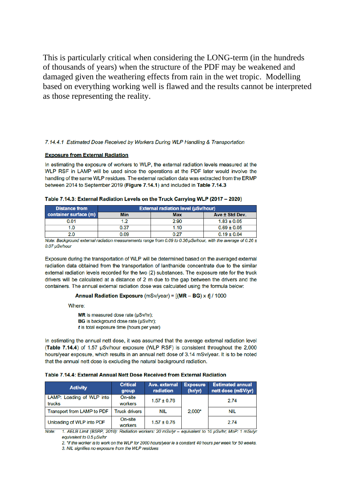This is particularly critical when considering the LONG-term (in the hundreds of thousands of years) when the structure of the PDF may be weakened and damaged given the weathering effects from rain in the wet tropic. Modelling based on everything working well is flawed and the results cannot be interpreted as those representing the reality.

#### 7.14.4.1 Estimated Dose Received by Workers During WLP Handling & Transportation

#### **Exposure from External Radiation**

In estimating the exposure of workers to WLP, the external radiation levels measured at the WLP RSF in LAMP will be used since the operations at the PDF later would involve the handling of the same WLP residues. The external radiation data was extracted from the ERMP between 2014 to September 2019 (Figure 7.14.1) and included in Table 7.14.3

| <b>Distance from</b>  | <b>External radiation level (µSv/hour)</b> |            |                 |  |  |
|-----------------------|--------------------------------------------|------------|-----------------|--|--|
| container surface (m) | Min                                        | <b>Max</b> | Ave ± Std Dev.  |  |  |
| 0.01                  | 1.2                                        | 2.90       | $1.83 \pm 0.05$ |  |  |
| I.O                   | 0.37                                       | 1.10       | $0.69 \pm 0.05$ |  |  |
| 2.0                   | 0.09                                       | በ ጋ7       | $0.19 \pm 0.04$ |  |  |

| Table 7.14.3: External Radiation Levels on the Truck Carrying WLP (2017 - 2020) |  |  |  |  |  |  |  |
|---------------------------------------------------------------------------------|--|--|--|--|--|--|--|
|---------------------------------------------------------------------------------|--|--|--|--|--|--|--|

Note: Background external radiation measurements range from 0.09 to 0.36  $\mu$ Sw/hour, with the average of 0.26 ± 0.07 uSv/hour

Exposure during the transportation of WLP will be determined based on the averaged external radiation data obtained from the transportation of lanthanide concentrate due to the similar external radiation levels recorded for the two (2) substances. The exposure rate for the truck drivers will be calculated at a distance of 2 m due to the gap between the drivers and the containers. The annual external radiation dose was calculated using the formula below:

Annual Radiation Exposure (mSv/year) =  $[(MR - BG) \times f] / 1000$ 

Where:

MR is measured dose rate (µSv/hr);

BG is background dose rate (µSv/hr);

t is total exposure time (hours per year)

In estimating the annual nett dose, it was assumed that the average external radiation level (Table 7.14.4) of 1.57 µSv/hour exposure (WLP RSF) is consistent throughout the 2,000 hours/year exposure, which results in an annual nett dose of 3.14 mSv/year. It is to be noted that the annual nett dose is excluding the natural background radiation.

Table 7.14.4: External Annual Nett Dose Received from External Radiation

| <b>Activity</b>                     | <b>Critical</b><br>group | Ave. external<br>radiation | <b>Exposure</b><br>(hr/yr) | <b>Estimated annual</b><br>nett dose (mSV/yr) |  |
|-------------------------------------|--------------------------|----------------------------|----------------------------|-----------------------------------------------|--|
| LAMP: Loading of WLP into<br>trucks | On-site<br>workers       | $1.57 \pm 0.76$            | $2.000*$                   | 2.74<br><b>NIL</b>                            |  |
| Transport from LAMP to PDF          | <b>Truck drivers</b>     | <b>NIL</b>                 |                            |                                               |  |
| Unloading of WLP into PDF           | On-site<br>workers       | $1.57 \pm 0.76$            |                            | 2.74                                          |  |

Note: 1. AELB Limit (BSRP, 2010): Radiation workers: 20 mSv/yr - equivalent to 10 µSv/hr; MoP: 1 mSv/yr equivalent to 0.5 uSv/hr

2. \*if the worker is to work on the WLP for 2000 hours/year ie a constant 40 hours per week for 50 weeks. 3. NIL signifies no exposure from the WLP residues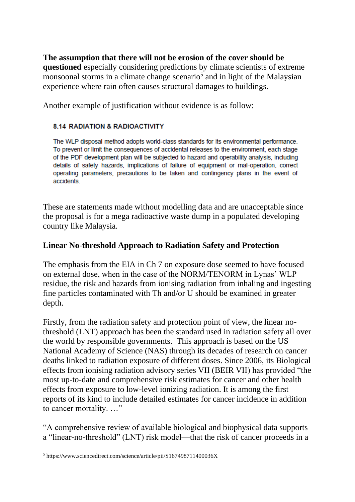**The assumption that there will not be erosion of the cover should be questioned** especially considering predictions by climate scientists of extreme monsoonal storms in a climate change scenario<sup>5</sup> and in light of the Malaysian experience where rain often causes structural damages to buildings.

Another example of justification without evidence is as follow:

### **8.14 RADIATION & RADIOACTIVITY**

The WLP disposal method adopts world-class standards for its environmental performance. To prevent or limit the consequences of accidental releases to the environment, each stage of the PDF development plan will be subjected to hazard and operability analysis, including details of safety hazards, implications of failure of equipment or mal-operation, correct operating parameters, precautions to be taken and contingency plans in the event of accidents

These are statements made without modelling data and are unacceptable since the proposal is for a mega radioactive waste dump in a populated developing country like Malaysia.

## **Linear No-threshold Approach to Radiation Safety and Protection**

The emphasis from the EIA in Ch 7 on exposure dose seemed to have focused on external dose, when in the case of the NORM/TENORM in Lynas' WLP residue, the risk and hazards from ionising radiation from inhaling and ingesting fine particles contaminated with Th and/or U should be examined in greater depth.

Firstly, from the radiation safety and protection point of view, the linear nothreshold (LNT) approach has been the standard used in radiation safety all over the world by responsible governments. This approach is based on the US National Academy of Science (NAS) through its decades of research on cancer deaths linked to radiation exposure of different doses. Since 2006, its Biological effects from ionising radiation advisory series VII (BEIR VII) has provided "the most up-to-date and comprehensive risk estimates for cancer and other health effects from exposure to low-level ionizing radiation. It is among the first reports of its kind to include detailed estimates for cancer incidence in addition to cancer mortality. …"

"A comprehensive review of available biological and biophysical data supports a "linear-no-threshold" (LNT) risk model—that the risk of cancer proceeds in a

<sup>5</sup> https://www.sciencedirect.com/science/article/pii/S167498711400036X